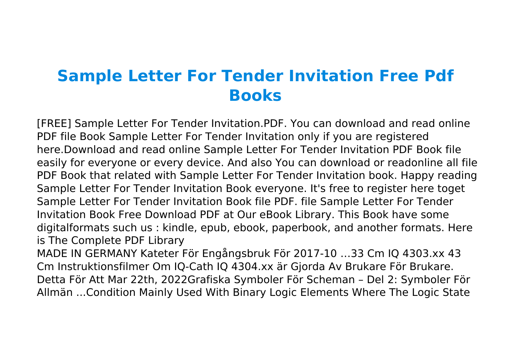## **Sample Letter For Tender Invitation Free Pdf Books**

[FREE] Sample Letter For Tender Invitation.PDF. You can download and read online PDF file Book Sample Letter For Tender Invitation only if you are registered here.Download and read online Sample Letter For Tender Invitation PDF Book file easily for everyone or every device. And also You can download or readonline all file PDF Book that related with Sample Letter For Tender Invitation book. Happy reading Sample Letter For Tender Invitation Book everyone. It's free to register here toget Sample Letter For Tender Invitation Book file PDF. file Sample Letter For Tender Invitation Book Free Download PDF at Our eBook Library. This Book have some digitalformats such us : kindle, epub, ebook, paperbook, and another formats. Here is The Complete PDF Library

MADE IN GERMANY Kateter För Engångsbruk För 2017-10 …33 Cm IQ 4303.xx 43 Cm Instruktionsfilmer Om IQ-Cath IQ 4304.xx är Gjorda Av Brukare För Brukare. Detta För Att Mar 22th, 2022Grafiska Symboler För Scheman – Del 2: Symboler För Allmän ...Condition Mainly Used With Binary Logic Elements Where The Logic State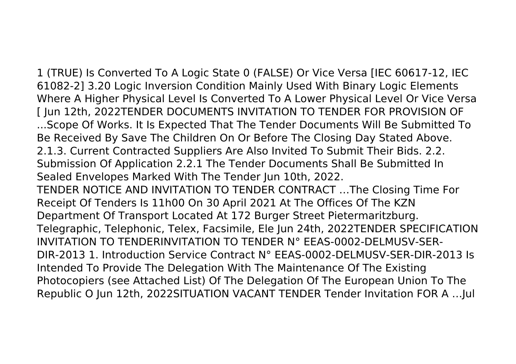1 (TRUE) Is Converted To A Logic State 0 (FALSE) Or Vice Versa [IEC 60617-12, IEC 61082-2] 3.20 Logic Inversion Condition Mainly Used With Binary Logic Elements Where A Higher Physical Level Is Converted To A Lower Physical Level Or Vice Versa [ Jun 12th, 2022TENDER DOCUMENTS INVITATION TO TENDER FOR PROVISION OF ...Scope Of Works. It Is Expected That The Tender Documents Will Be Submitted To Be Received By Save The Children On Or Before The Closing Day Stated Above. 2.1.3. Current Contracted Suppliers Are Also Invited To Submit Their Bids. 2.2. Submission Of Application 2.2.1 The Tender Documents Shall Be Submitted In Sealed Envelopes Marked With The Tender Jun 10th, 2022. TENDER NOTICE AND INVITATION TO TENDER CONTRACT …The Closing Time For Receipt Of Tenders Is 11h00 On 30 April 2021 At The Offices Of The KZN Department Of Transport Located At 172 Burger Street Pietermaritzburg. Telegraphic, Telephonic, Telex, Facsimile, Ele Jun 24th, 2022TENDER SPECIFICATION INVITATION TO TENDERINVITATION TO TENDER N° EEAS-0002-DELMUSV-SER-DIR-2013 1. Introduction Service Contract N° EEAS-0002-DELMUSV-SER-DIR-2013 Is Intended To Provide The Delegation With The Maintenance Of The Existing Photocopiers (see Attached List) Of The Delegation Of The European Union To The Republic O Jun 12th, 2022SITUATION VACANT TENDER Tender Invitation FOR A …Jul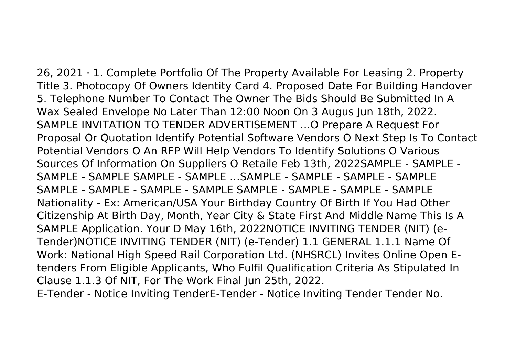26, 2021 · 1. Complete Portfolio Of The Property Available For Leasing 2. Property Title 3. Photocopy Of Owners Identity Card 4. Proposed Date For Building Handover 5. Telephone Number To Contact The Owner The Bids Should Be Submitted In A Wax Sealed Envelope No Later Than 12:00 Noon On 3 Augus Jun 18th, 2022. SAMPLE INVITATION TO TENDER ADVERTISEMENT …O Prepare A Request For Proposal Or Quotation Identify Potential Software Vendors O Next Step Is To Contact Potential Vendors O An RFP Will Help Vendors To Identify Solutions O Various Sources Of Information On Suppliers O Retaile Feb 13th, 2022SAMPLE - SAMPLE - SAMPLE - SAMPLE SAMPLE - SAMPLE - SAMPLE - SAMPLE - SAMPLE - SAMPLE SAMPLE - SAMPLE - SAMPLE - SAMPLE SAMPLE - SAMPLE - SAMPLE - SAMPLE Nationality - Ex: American/USA Your Birthday Country Of Birth If You Had Other Citizenship At Birth Day, Month, Year City & State First And Middle Name This Is A SAMPLE Application. Your D May 16th, 2022NOTICE INVITING TENDER (NIT) (e-Tender)NOTICE INVITING TENDER (NIT) (e-Tender) 1.1 GENERAL 1.1.1 Name Of Work: National High Speed Rail Corporation Ltd. (NHSRCL) Invites Online Open Etenders From Eligible Applicants, Who Fulfil Qualification Criteria As Stipulated In Clause 1.1.3 Of NIT, For The Work Final Jun 25th, 2022. E-Tender - Notice Inviting TenderE-Tender - Notice Inviting Tender Tender No.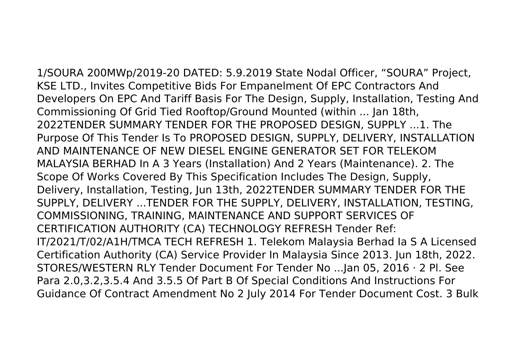1/SOURA 200MWp/2019-20 DATED: 5.9.2019 State Nodal Officer, "SOURA" Project, KSE LTD., Invites Competitive Bids For Empanelment Of EPC Contractors And Developers On EPC And Tariff Basis For The Design, Supply, Installation, Testing And Commissioning Of Grid Tied Rooftop/Ground Mounted (within ... Jan 18th, 2022TENDER SUMMARY TENDER FOR THE PROPOSED DESIGN, SUPPLY ...1. The Purpose Of This Tender Is To PROPOSED DESIGN, SUPPLY, DELIVERY, INSTALLATION AND MAINTENANCE OF NEW DIESEL ENGINE GENERATOR SET FOR TELEKOM MALAYSIA BERHAD In A 3 Years (Installation) And 2 Years (Maintenance). 2. The Scope Of Works Covered By This Specification Includes The Design, Supply, Delivery, Installation, Testing, Jun 13th, 2022TENDER SUMMARY TENDER FOR THE SUPPLY, DELIVERY ...TENDER FOR THE SUPPLY, DELIVERY, INSTALLATION, TESTING, COMMISSIONING, TRAINING, MAINTENANCE AND SUPPORT SERVICES OF CERTIFICATION AUTHORITY (CA) TECHNOLOGY REFRESH Tender Ref: IT/2021/T/02/A1H/TMCA TECH REFRESH 1. Telekom Malaysia Berhad Ia S A Licensed Certification Authority (CA) Service Provider In Malaysia Since 2013. Jun 18th, 2022. STORES/WESTERN RLY Tender Document For Tender No ...Jan 05, 2016 · 2 Pl. See Para 2.0,3.2,3.5.4 And 3.5.5 Of Part B Of Special Conditions And Instructions For Guidance Of Contract Amendment No 2 July 2014 For Tender Document Cost. 3 Bulk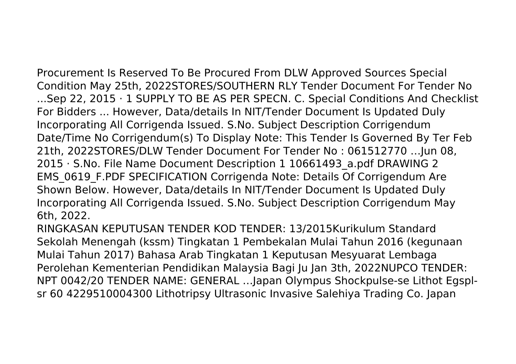Procurement Is Reserved To Be Procured From DLW Approved Sources Special Condition May 25th, 2022STORES/SOUTHERN RLY Tender Document For Tender No ...Sep 22, 2015 · 1 SUPPLY TO BE AS PER SPECN. C. Special Conditions And Checklist For Bidders ... However, Data/details In NIT/Tender Document Is Updated Duly Incorporating All Corrigenda Issued. S.No. Subject Description Corrigendum Date/Time No Corrigendum(s) To Display Note: This Tender Is Governed By Ter Feb 21th, 2022STORES/DLW Tender Document For Tender No : 061512770 …Jun 08, 2015 · S.No. File Name Document Description 1 10661493\_a.pdf DRAWING 2 EMS\_0619\_F.PDF SPECIFICATION Corrigenda Note: Details Of Corrigendum Are Shown Below. However, Data/details In NIT/Tender Document Is Updated Duly Incorporating All Corrigenda Issued. S.No. Subject Description Corrigendum May 6th, 2022.

RINGKASAN KEPUTUSAN TENDER KOD TENDER: 13/2015Kurikulum Standard Sekolah Menengah (kssm) Tingkatan 1 Pembekalan Mulai Tahun 2016 (kegunaan Mulai Tahun 2017) Bahasa Arab Tingkatan 1 Keputusan Mesyuarat Lembaga Perolehan Kementerian Pendidikan Malaysia Bagi Ju Jan 3th, 2022NUPCO TENDER: NPT 0042/20 TENDER NAME: GENERAL …Japan Olympus Shockpulse-se Lithot Egsplsr 60 4229510004300 Lithotripsy Ultrasonic Invasive Salehiya Trading Co. Japan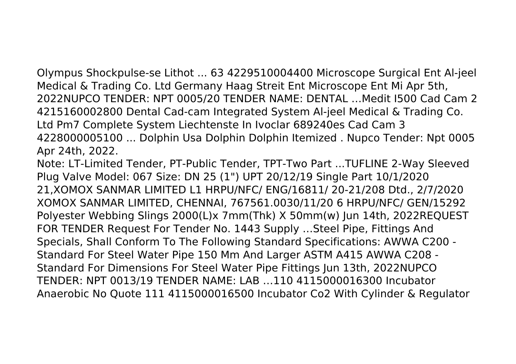Olympus Shockpulse-se Lithot ... 63 4229510004400 Microscope Surgical Ent Al-jeel Medical & Trading Co. Ltd Germany Haag Streit Ent Microscope Ent Mi Apr 5th, 2022NUPCO TENDER: NPT 0005/20 TENDER NAME: DENTAL …Medit I500 Cad Cam 2 4215160002800 Dental Cad-cam Integrated System Al-jeel Medical & Trading Co. Ltd Pm7 Complete System Liechtenste In Ivoclar 689240es Cad Cam 3 4228000005100 ... Dolphin Usa Dolphin Dolphin Itemized . Nupco Tender: Npt 0005 Apr 24th, 2022.

Note: LT-Limited Tender, PT-Public Tender, TPT-Two Part ...TUFLINE 2-Way Sleeved Plug Valve Model: 067 Size: DN 25 (1") UPT 20/12/19 Single Part 10/1/2020 21,XOMOX SANMAR LIMITED L1 HRPU/NFC/ ENG/16811/ 20-21/208 Dtd., 2/7/2020 XOMOX SANMAR LIMITED, CHENNAI, 767561.0030/11/20 6 HRPU/NFC/ GEN/15292 Polyester Webbing Slings 2000(L)x 7mm(Thk) X 50mm(w) Jun 14th, 2022REQUEST FOR TENDER Request For Tender No. 1443 Supply …Steel Pipe, Fittings And Specials, Shall Conform To The Following Standard Specifications: AWWA C200 - Standard For Steel Water Pipe 150 Mm And Larger ASTM A415 AWWA C208 - Standard For Dimensions For Steel Water Pipe Fittings Jun 13th, 2022NUPCO TENDER: NPT 0013/19 TENDER NAME: LAB …110 4115000016300 Incubator Anaerobic No Quote 111 4115000016500 Incubator Co2 With Cylinder & Regulator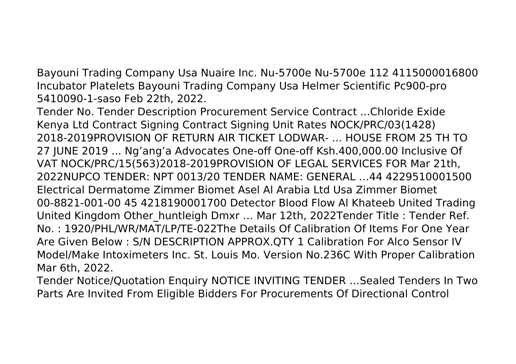Bayouni Trading Company Usa Nuaire Inc. Nu-5700e Nu-5700e 112 4115000016800 Incubator Platelets Bayouni Trading Company Usa Helmer Scientific Pc900-pro 5410090-1-saso Feb 22th, 2022.

Tender No. Tender Description Procurement Service Contract ...Chloride Exide Kenya Ltd Contract Signing Contract Signing Unit Rates NOCK/PRC/03(1428) 2018-2019PROVISION OF RETURN AIR TICKET LODWAR- ... HOUSE FROM 25 TH TO 27 JUNE 2019 ... Ng'ang'a Advocates One-off One-off Ksh.400,000.00 Inclusive Of VAT NOCK/PRC/15(563)2018-2019PROVISION OF LEGAL SERVICES FOR Mar 21th, 2022NUPCO TENDER: NPT 0013/20 TENDER NAME: GENERAL …44 4229510001500 Electrical Dermatome Zimmer Biomet Asel Al Arabia Ltd Usa Zimmer Biomet 00-8821-001-00 45 4218190001700 Detector Blood Flow Al Khateeb United Trading United Kingdom Other\_huntleigh Dmxr … Mar 12th, 2022Tender Title : Tender Ref. No. : 1920/PHL/WR/MAT/LP/TE-022The Details Of Calibration Of Items For One Year Are Given Below : S/N DESCRIPTION APPROX.QTY 1 Calibration For Alco Sensor IV Model/Make Intoximeters Inc. St. Louis Mo. Version No.236C With Proper Calibration Mar 6th, 2022.

Tender Notice/Quotation Enquiry NOTICE INVITING TENDER …Sealed Tenders In Two Parts Are Invited From Eligible Bidders For Procurements Of Directional Control